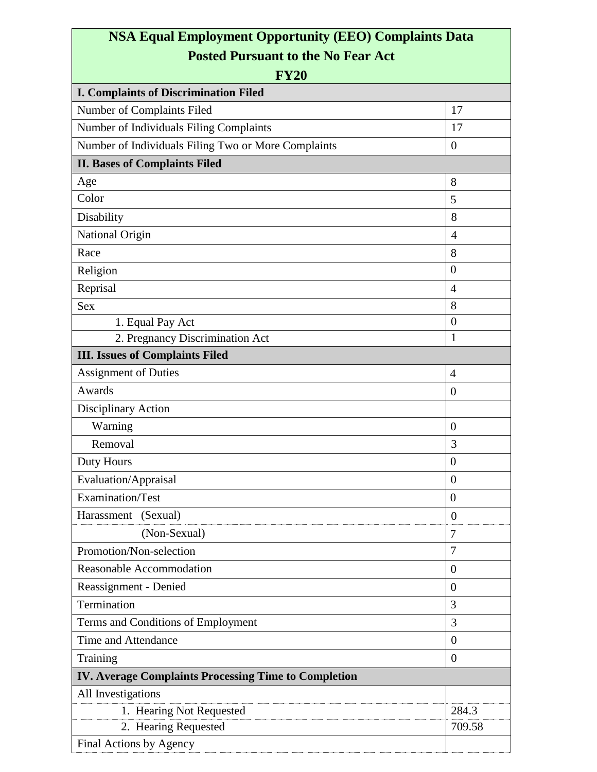## **NSA Equal Employment Opportunity (EEO) Complaints Data Posted Pursuant to the No Fear Act**

| <b>FY20</b>                                                 |                  |
|-------------------------------------------------------------|------------------|
| <b>I. Complaints of Discrimination Filed</b>                |                  |
| Number of Complaints Filed                                  | 17               |
| Number of Individuals Filing Complaints                     | 17               |
| Number of Individuals Filing Two or More Complaints         | $\overline{0}$   |
| <b>II. Bases of Complaints Filed</b>                        |                  |
| Age                                                         | 8                |
| Color                                                       | 5                |
| Disability                                                  | 8                |
| National Origin                                             | $\overline{4}$   |
| Race                                                        | 8                |
| Religion                                                    | $\boldsymbol{0}$ |
| Reprisal                                                    | $\overline{4}$   |
| <b>Sex</b>                                                  | 8                |
| 1. Equal Pay Act                                            | $\theta$         |
| 2. Pregnancy Discrimination Act                             | 1                |
| <b>III.</b> Issues of Complaints Filed                      |                  |
| <b>Assignment of Duties</b>                                 | $\overline{4}$   |
| Awards                                                      | $\overline{0}$   |
| Disciplinary Action                                         |                  |
| Warning                                                     | $\overline{0}$   |
| Removal                                                     | 3                |
| Duty Hours                                                  | $\overline{0}$   |
| Evaluation/Appraisal                                        | $\overline{0}$   |
| Examination/Test                                            | $\overline{0}$   |
| Harassment (Sexual)                                         | $\theta$         |
| (Non-Sexual)                                                | 7                |
| Promotion/Non-selection                                     | 7                |
| Reasonable Accommodation                                    | $\boldsymbol{0}$ |
| Reassignment - Denied                                       | $\theta$         |
| Termination                                                 | 3                |
| Terms and Conditions of Employment                          | 3                |
| Time and Attendance                                         | $\overline{0}$   |
| Training                                                    | $\theta$         |
| <b>IV. Average Complaints Processing Time to Completion</b> |                  |
| All Investigations                                          |                  |
| 1. Hearing Not Requested                                    | 284.3            |
| 2. Hearing Requested                                        | 709.58           |
| Final Actions by Agency                                     |                  |